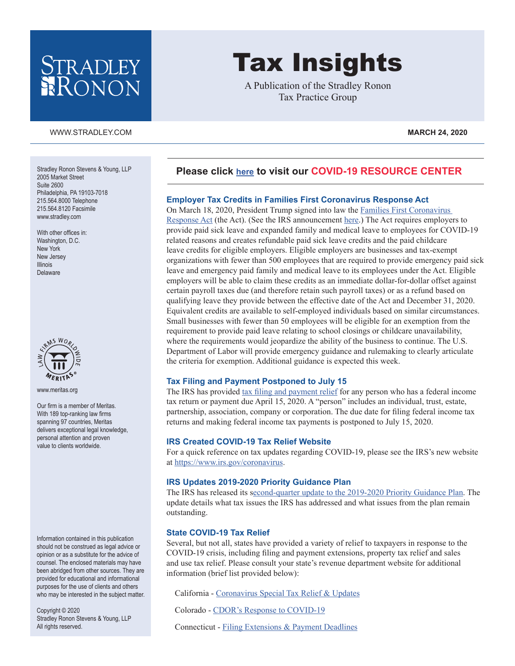# STRADLEY RONON

#### [WWW.STRADLEY.COM](www.stradley.com) **MARCH 24, 2020**

Tax Insights

A Publication of the Stradley Ronon Tax Practice Group

#### Stradley Ronon Stevens & Young, LLP 2005 Market Street Suite 2600 Philadelphia, PA 19103-7018 215.564.8000 Telephone 215.564.8120 Facsimile [www.stradley.com](http://www.stradley.com)

With other offices in: Washington, D.C. New York New Jersey Illinois Delaware



[www.meritas.org](http://www.meritas.org)

Our firm is a member of Meritas. With 189 top-ranking law firms spanning 97 countries, Meritas delivers exceptional legal knowledge, personal attention and proven value to clients worldwide.

Information contained in this publication should not be construed as legal advice or opinion or as a substitute for the advice of counsel. The enclosed materials may have been abridged from other sources. They are provided for educational and informational purposes for the use of clients and others who may be interested in the subject matter.

Copyright © 2020 Stradley Ronon Stevens & Young, LLP All rights reserved.

## **Please click [here](https://www.stradley.com/insights/publications/covid19-resource-center) to visit our COVID-19 RESOURCE CENTER**

### **Employer Tax Credits in Families First Coronavirus Response Act**

On March 18, 2020, President Trump signed into law the [Families First Coronavirus](https://www.congress.gov/bill/116th-congress/house-bill/6201/text)  [Response Act](https://www.congress.gov/bill/116th-congress/house-bill/6201/text) (the Act). (See the IRS announcement [here.](https://www.irs.gov/newsroom/treasury-irs-and-labor-announce-plan-to-implement-coronavirus-related-paid-leave-for-workers-and-tax-credits-for-small-and-midsize-businesses-to-swiftly-recover-the-cost-of-providing-coronavirus)) The Act requires employers to provide paid sick leave and expanded family and medical leave to employees for COVID-19 related reasons and creates refundable paid sick leave credits and the paid childcare leave credits for eligible employers. Eligible employers are businesses and tax-exempt organizations with fewer than 500 employees that are required to provide emergency paid sick leave and emergency paid family and medical leave to its employees under the Act. Eligible employers will be able to claim these credits as an immediate dollar-for-dollar offset against certain payroll taxes due (and therefore retain such payroll taxes) or as a refund based on qualifying leave they provide between the effective date of the Act and December 31, 2020. Equivalent credits are available to self-employed individuals based on similar circumstances. Small businesses with fewer than 50 employees will be eligible for an exemption from the requirement to provide paid leave relating to school closings or childcare unavailability, where the requirements would jeopardize the ability of the business to continue. The U.S. Department of Labor will provide emergency guidance and rulemaking to clearly articulate the criteria for exemption. Additional guidance is expected this week.

#### **Tax Filing and Payment Postponed to July 15**

The IRS has provided <u>[tax filing and payment relief](https://www.irs.gov/pub/irs-drop/n-20-18.pdf)</u> for any person who has a federal income tax return or payment due April 15, 2020. A "person" includes an individual, trust, estate, partnership, association, company or corporation. The due date for filing federal income tax returns and making federal income tax payments is postponed to July 15, 2020.

#### **IRS Created COVID-19 Tax Relief Website**

For a quick reference on tax updates regarding COVID-19, please see the IRS's new website at [https://www.irs.gov/coronavirus.](https://www.irs.gov/coronavirus)

#### **IRS Updates 2019-2020 Priority Guidance Plan**

The IRS has released its [second-quarter update to the 2019-2020 Priority Guidance Plan.](https://www.irs.gov/pub/irs-utl/2019-2020_pgp_2nd_quarter_update.pdf) The update details what tax issues the IRS has addressed and what issues from the plan remain outstanding.

#### **State COVID-19 Tax Relief**

Several, but not all, states have provided a variety of relief to taxpayers in response to the COVID-19 crisis, including filing and payment extensions, property tax relief and sales and use tax relief. Please consult your state's revenue department website for additional information (brief list provided below):

California - [Coronavirus Special Tax Relief & Updates](https://www.ftb.ca.gov/about-ftb/newsroom/covid-19/index.html)

Colorado - [CDOR's Response to COVID-19](https://www.colorado.gov/revenue)

Connecticut - [Filing Extensions & Payment Deadlines](https://portal.ct.gov/DRS/News---Press-Releases/2020/2020-Latest-News/DRS-extends-filing-and-payment-deadlines-for-personal-income-tax)